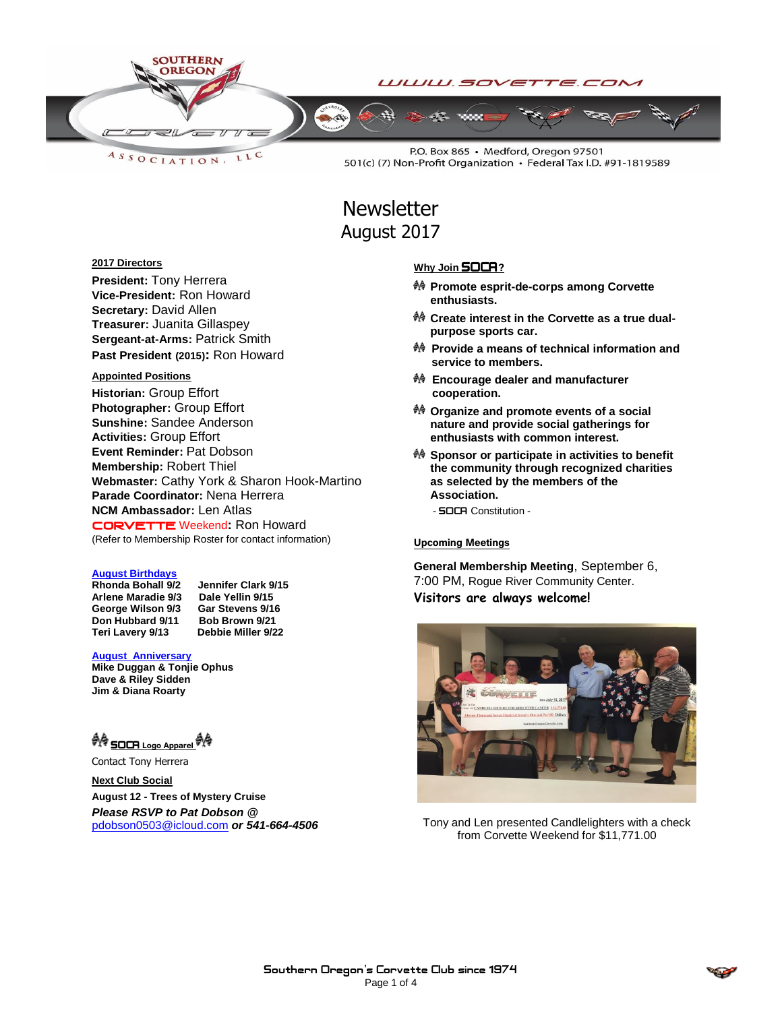

LLC ASSOCIATION.

P.O. Box 865 · Medford, Oregon 97501 501(c) (7) Non-Profit Organization · Federal Tax I.D. #91-1819589

# **Newsletter** August 2017

# **2017 Directors**

**President:** Tony Herrera **Vice-President:** Ron Howard **Secretary:** David Allen **Treasurer:** Juanita Gillaspey **Sergeant-at-Arms:** Patrick Smith **Past President (2015):** Ron Howard

# **Appointed Positions**

**Historian:** Group Effort **Photographer:** Group Effort **Sunshine:** Sandee Anderson **Activities:** Group Effort **Event Reminder:** Pat Dobson **Membership:** Robert Thiel **Webmaster:** Cathy York & Sharon Hook-Martino **Parade Coordinator:** Nena Herrera **NCM Ambassador:** Len Atlas CORVETTEWeekend**:** Ron Howard (Refer to Membership Roster for contact information)

# **August Birthdays**

**Rhonda Bohall 9/2 Jennifer Clark 9/15 Arlene Maradie 9/3 Dale Yellin 9/15** George Wilson 9/3 Gar Stevens 9/16<br>Don Hubbard 9/11 Bob Brown 9/21 **Don Hubbard 9/11 Bob Brown 9/21 Teri Lavery 9/13** 

#### **August Anniversary**

**Mike Duggan & Tonjie Ophus Dave & Riley Sidden Jim & Diana Roarty**

<sup>◆ S</sup>OCA Logo Apparel <sup>◆ ◆</sup>

Contact Tony Herrera

**Next Club Social August 12 - Trees of Mystery Cruise** *Please RSVP to Pat Dobson @*  [pdobson0503@icloud.com](mailto:pdobson0503@icloud.com) *or 541-664-4506*

## **Why Join SOCA?**

- **Promote esprit-de-corps among Corvette enthusiasts.**
- **Create interest in the Corvette as a true dualpurpose sports car.**
- **Provide a means of technical information and service to members.**
- **Encourage dealer and manufacturer cooperation.**
- **Organize and promote events of a social nature and provide social gatherings for enthusiasts with common interest.**
- **Sponsor or participate in activities to benefit the community through recognized charities as selected by the members of the Association.**
	- **SOCA** Constitution -

## **Upcoming Meetings**

**General Membership Meeting**, September 6, 7:00 PM, Rogue River Community Center. **Visitors are always welcome!**



Tony and Len presented Candlelighters with a check from Corvette Weekend for \$11,771.00

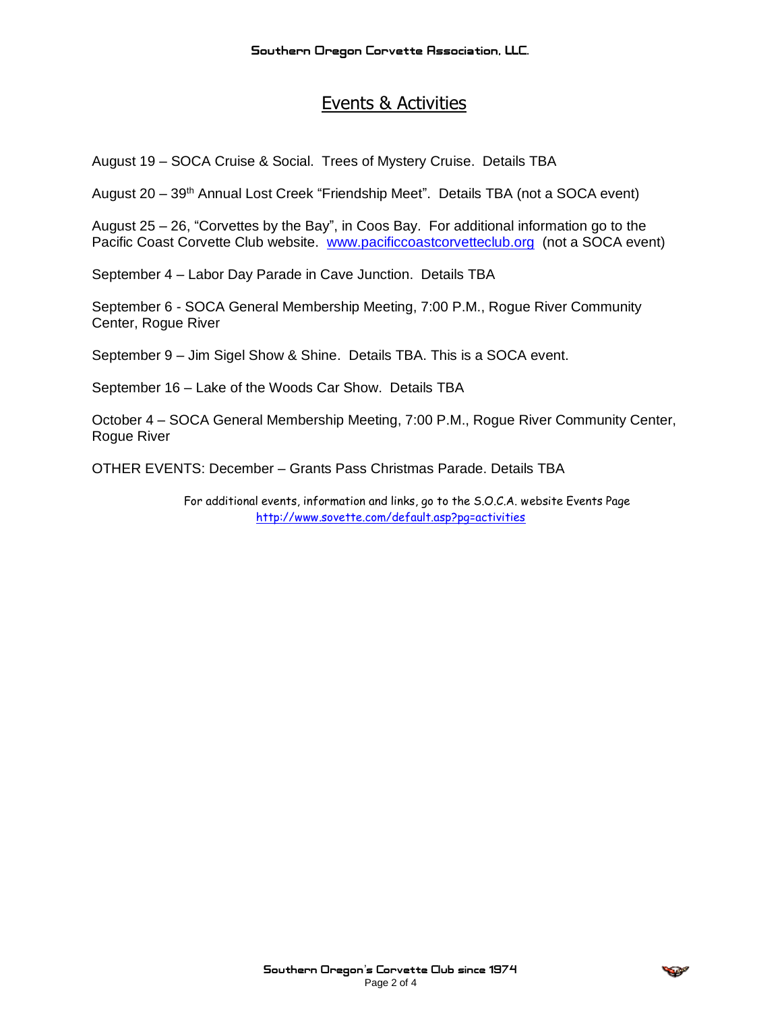# Events & Activities

August 19 – SOCA Cruise & Social. Trees of Mystery Cruise. Details TBA

August 20 – 39<sup>th</sup> Annual Lost Creek "Friendship Meet". Details TBA (not a SOCA event)

August 25 – 26, "Corvettes by the Bay", in Coos Bay. For additional information go to the Pacific Coast Corvette Club website. [www.pacificcoastcorvetteclub.org](http://www.pacificcoastcorvetteclub.org/) (not a SOCA event)

September 4 – Labor Day Parade in Cave Junction. Details TBA

September 6 - SOCA General Membership Meeting, 7:00 P.M., Rogue River Community Center, Rogue River

September 9 – Jim Sigel Show & Shine. Details TBA. This is a SOCA event.

September 16 – Lake of the Woods Car Show. Details TBA

October 4 – SOCA General Membership Meeting, 7:00 P.M., Rogue River Community Center, Rogue River

OTHER EVENTS: December – Grants Pass Christmas Parade. Details TBA

For additional events, information and links, go to the S.O.C.A. website Events Page <http://www.sovette.com/default.asp?pg=activities>

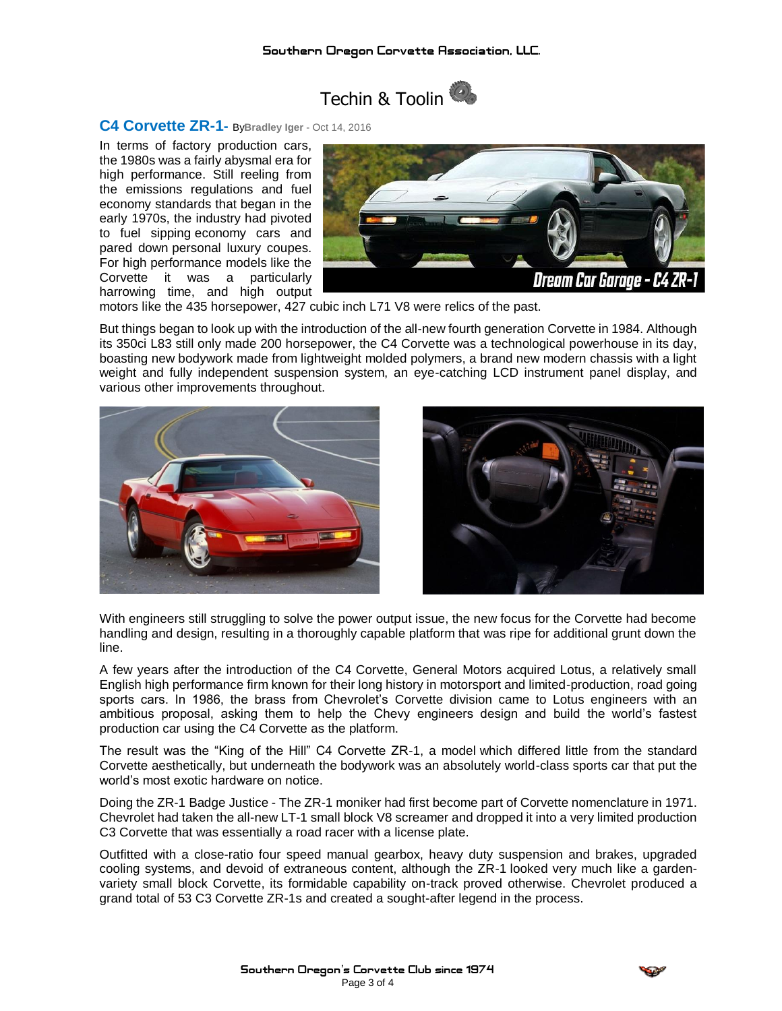

**C4 Corvette ZR-1-** By**Bradley Iger** - Oct 14, <sup>2016</sup>

In terms of factory production cars, the 1980s was a fairly abysmal era for high performance. Still reeling from the emissions regulations and fuel economy standards that began in the early 1970s, the industry had pivoted to fuel sipping economy cars and pared down personal luxury coupes. For high performance models like the Corvette it was a particularly harrowing time, and high output



motors like the 435 horsepower, 427 cubic inch L71 V8 were relics of the past.

But things began to look up with the introduction of the all-new fourth generation Corvette in 1984. Although its 350ci L83 still only made 200 horsepower, the C4 Corvette was a technological powerhouse in its day, boasting new bodywork made from lightweight molded polymers, a brand new modern chassis with a light weight and fully independent suspension system, an eye-catching LCD instrument panel display, and various other improvements throughout.





With engineers still struggling to solve the power output issue, the new focus for the Corvette had become handling and design, resulting in a thoroughly capable platform that was ripe for additional grunt down the line.

A few years after the introduction of the C4 Corvette, General Motors acquired Lotus, a relatively small English high performance firm known for their long history in motorsport and limited-production, road going sports cars. In 1986, the brass from Chevrolet's Corvette division came to Lotus engineers with an ambitious proposal, asking them to help the Chevy engineers design and build the world's fastest production car using the C4 Corvette as the platform.

The result was the "King of the Hill" C4 Corvette ZR-1, a model which differed little from the standard Corvette aesthetically, but underneath the bodywork was an absolutely world-class sports car that put the world's most exotic hardware on notice.

Doing the ZR-1 Badge Justice - The ZR-1 moniker had first become part of Corvette nomenclature in 1971. Chevrolet had taken the all-new LT-1 small block V8 screamer and dropped it into a very limited production C3 Corvette that was essentially a road racer with a license plate.

Outfitted with a close-ratio four speed manual gearbox, heavy duty suspension and brakes, upgraded cooling systems, and devoid of extraneous content, although the ZR-1 looked very much like a gardenvariety small block Corvette, its formidable capability on-track proved otherwise. Chevrolet produced a grand total of 53 C3 Corvette ZR-1s and created a sought-after legend in the process.